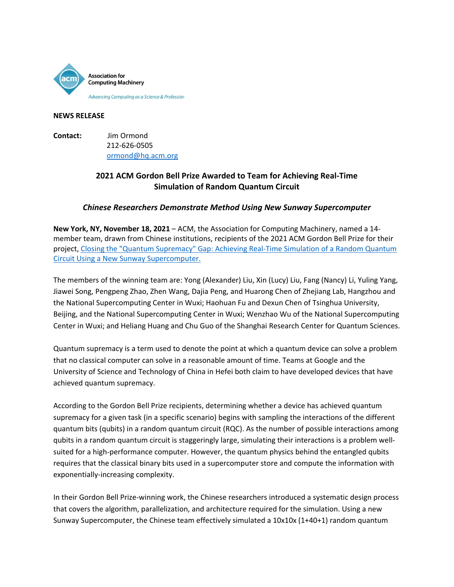

### **NEWS RELEASE**

**Contact:** Jim Ormond 212-626-0505 [ormond@hq.acm.org](mailto:ormond@hq.acm.org)

# **2021 ACM Gordon Bell Prize Awarded to Team for Achieving Real-Time Simulation of Random Quantum Circuit**

## *Chinese Researchers Demonstrate Method Using New Sunway Supercomputer*

**New York, NY, November 18, 2021** – ACM, the Association for Computing Machinery, named a 14 member team, drawn from Chinese institutions, recipients of the 2021 ACM Gordon Bell Prize for their project, Closing the "Quantum Supremacy" [Gap: Achieving Real-Time Simulation of a Random Quantum](https://dl.acm.org/doi/abs/10.1145/3458817.3487399)  [Circuit Using a New Sunway Supercomputer.](https://dl.acm.org/doi/abs/10.1145/3458817.3487399)

The members of the winning team are: Yong (Alexander) Liu, Xin (Lucy) Liu, Fang (Nancy) Li, Yuling Yang, Jiawei Song, Pengpeng Zhao, Zhen Wang, Dajia Peng, and Huarong Chen of Zhejiang Lab, Hangzhou and the National Supercomputing Center in Wuxi; Haohuan Fu and Dexun Chen of Tsinghua University, Beijing, and the National Supercomputing Center in Wuxi; Wenzhao Wu of the National Supercomputing Center in Wuxi; and Heliang Huang and Chu Guo of the Shanghai Research Center for Quantum Sciences.

Quantum supremacy is a term used to denote the point at which a quantum device can solve a problem that no classical computer can solve in a reasonable amount of time. Teams at Google and the University of Science and Technology of China in Hefei both claim to have developed devices that have achieved quantum supremacy.

According to the Gordon Bell Prize recipients, determining whether a device has achieved quantum supremacy for a given task (in a specific scenario) begins with sampling the interactions of the different quantum bits (qubits) in a random quantum circuit (RQC). As the number of possible interactions among qubits in a random quantum circuit is staggeringly large, simulating their interactions is a problem wellsuited for a high-performance computer. However, the quantum physics behind the entangled qubits requires that the classical binary bits used in a supercomputer store and compute the information with exponentially-increasing complexity.

In their Gordon Bell Prize-winning work, the Chinese researchers introduced a systematic design process that covers the algorithm, parallelization, and architecture required for the simulation. Using a new Sunway Supercomputer, the Chinese team effectively simulated a 10x10x (1+40+1) random quantum